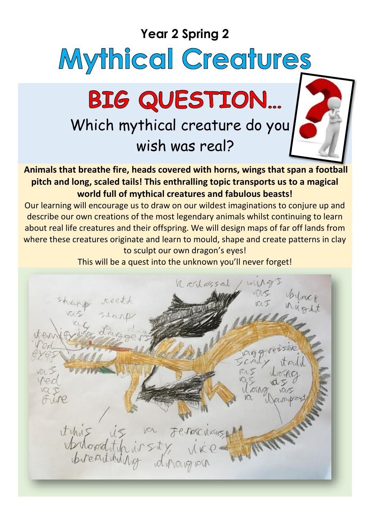# **Year 2 Spring 2** Mythical Creatures BIG QUESTION... Which mythical creature do you wish was real?

**Animals that breathe fire, heads covered with horns, wings that span a football pitch and long, scaled tails! This enthralling topic transports us to a magical world full of mythical creatures and fabulous beasts!**

Our learning will encourage us to draw on our wildest imaginations to conjure up and describe our own creations of the most legendary animals whilst continuing to learn about real life creatures and their offspring. We will design maps of far off lands from where these creatures originate and learn to mould, shape and create patterns in clay to sculpt our own dragon's eyes!

This will be a quest into the unknown you'll never forget!

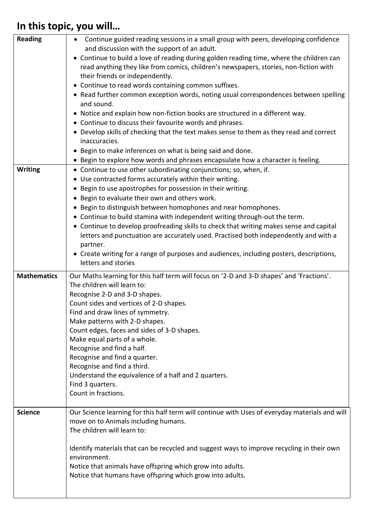## **In this topic, you will…**

| <b>Reading</b>     | Continue guided reading sessions in a small group with peers, developing confidence<br>$\bullet$                                         |
|--------------------|------------------------------------------------------------------------------------------------------------------------------------------|
|                    | and discussion with the support of an adult.<br>• Continue to build a love of reading during golden reading time, where the children can |
|                    | read anything they like from comics, children's newspapers, stories, non-fiction with                                                    |
|                    | their friends or independently.                                                                                                          |
|                    | • Continue to read words containing common suffixes.                                                                                     |
|                    | • Read further common exception words, noting usual correspondences between spelling<br>and sound.                                       |
|                    | • Notice and explain how non-fiction books are structured in a different way.                                                            |
|                    | • Continue to discuss their favourite words and phrases.                                                                                 |
|                    | • Develop skills of checking that the text makes sense to them as they read and correct                                                  |
|                    | inaccuracies.                                                                                                                            |
|                    | • Begin to make inferences on what is being said and done.                                                                               |
|                    | • Begin to explore how words and phrases encapsulate how a character is feeling.                                                         |
| <b>Writing</b>     | • Continue to use other subordinating conjunctions; so, when, if.                                                                        |
|                    | • Use contracted forms accurately within their writing.                                                                                  |
|                    | • Begin to use apostrophes for possession in their writing.<br>• Begin to evaluate their own and others work.                            |
|                    | • Begin to distinguish between homophones and near homophones.                                                                           |
|                    | • Continue to build stamina with independent writing through-out the term.                                                               |
|                    | • Continue to develop proofreading skills to check that writing makes sense and capital                                                  |
|                    | letters and punctuation are accurately used. Practised both independently and with a                                                     |
|                    | partner.                                                                                                                                 |
|                    | • Create writing for a range of purposes and audiences, including posters, descriptions,                                                 |
|                    | letters and stories                                                                                                                      |
| <b>Mathematics</b> |                                                                                                                                          |
|                    | Our Maths learning for this half term will focus on '2-D and 3-D shapes' and 'Fractions'.                                                |
|                    | The children will learn to:                                                                                                              |
|                    | Recognise 2-D and 3-D shapes.                                                                                                            |
|                    | Count sides and vertices of 2-D shapes.                                                                                                  |
|                    | Find and draw lines of symmetry.                                                                                                         |
|                    | Make patterns with 2-D shapes.                                                                                                           |
|                    | Count edges, faces and sides of 3-D shapes.<br>Make equal parts of a whole.                                                              |
|                    | Recognise and find a half.                                                                                                               |
|                    | Recognise and find a quarter.                                                                                                            |
|                    | Recognise and find a third.                                                                                                              |
|                    | Understand the equivalence of a half and 2 quarters.                                                                                     |
|                    | Find 3 quarters.                                                                                                                         |
|                    | Count in fractions.                                                                                                                      |
| <b>Science</b>     |                                                                                                                                          |
|                    | Our Science learning for this half term will continue with Uses of everyday materials and will<br>move on to Animals including humans.   |
|                    | The children will learn to:                                                                                                              |
|                    |                                                                                                                                          |
|                    | Identify materials that can be recycled and suggest ways to improve recycling in their own                                               |
|                    | environment.                                                                                                                             |
|                    | Notice that animals have offspring which grow into adults.<br>Notice that humans have offspring which grow into adults.                  |
|                    |                                                                                                                                          |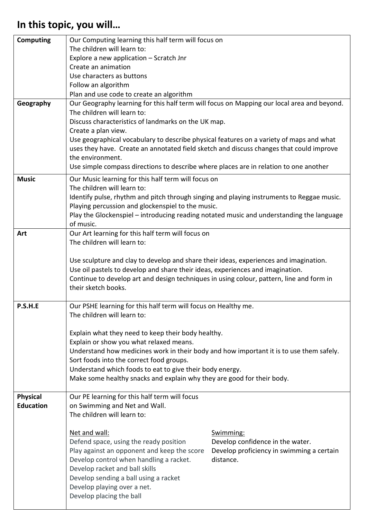## **In this topic, you will…**

| <b>Computing</b> | Our Computing learning this half term will focus on                                                                                            |                                           |  |
|------------------|------------------------------------------------------------------------------------------------------------------------------------------------|-------------------------------------------|--|
|                  | The children will learn to:                                                                                                                    |                                           |  |
|                  | Explore a new application - Scratch Jnr                                                                                                        |                                           |  |
|                  | Create an animation                                                                                                                            |                                           |  |
|                  | Use characters as buttons                                                                                                                      |                                           |  |
|                  | Follow an algorithm                                                                                                                            |                                           |  |
|                  | Plan and use code to create an algorithm                                                                                                       |                                           |  |
| Geography        | Our Geography learning for this half term will focus on Mapping our local area and beyond.                                                     |                                           |  |
|                  | The children will learn to:                                                                                                                    |                                           |  |
|                  | Discuss characteristics of landmarks on the UK map.                                                                                            |                                           |  |
|                  | Create a plan view.<br>Use geographical vocabulary to describe physical features on a variety of maps and what                                 |                                           |  |
|                  | uses they have. Create an annotated field sketch and discuss changes that could improve                                                        |                                           |  |
|                  | the environment.                                                                                                                               |                                           |  |
|                  | Use simple compass directions to describe where places are in relation to one another                                                          |                                           |  |
|                  |                                                                                                                                                |                                           |  |
| <b>Music</b>     | Our Music learning for this half term will focus on                                                                                            |                                           |  |
|                  | The children will learn to:                                                                                                                    |                                           |  |
|                  | Identify pulse, rhythm and pitch through singing and playing instruments to Reggae music.<br>Playing percussion and glockenspiel to the music. |                                           |  |
|                  | Play the Glockenspiel - introducing reading notated music and understanding the language                                                       |                                           |  |
|                  | of music.                                                                                                                                      |                                           |  |
| Art              | Our Art learning for this half term will focus on                                                                                              |                                           |  |
|                  | The children will learn to:                                                                                                                    |                                           |  |
|                  |                                                                                                                                                |                                           |  |
|                  | Use sculpture and clay to develop and share their ideas, experiences and imagination.                                                          |                                           |  |
|                  | Use oil pastels to develop and share their ideas, experiences and imagination.                                                                 |                                           |  |
|                  | Continue to develop art and design techniques in using colour, pattern, line and form in                                                       |                                           |  |
|                  | their sketch books.                                                                                                                            |                                           |  |
|                  |                                                                                                                                                |                                           |  |
| P.S.H.E          | Our PSHE learning for this half term will focus on Healthy me.                                                                                 |                                           |  |
|                  | The children will learn to:                                                                                                                    |                                           |  |
|                  |                                                                                                                                                |                                           |  |
|                  | Explain what they need to keep their body healthy.<br>Explain or show you what relaxed means.                                                  |                                           |  |
|                  | Understand how medicines work in their body and how important it is to use them safely.                                                        |                                           |  |
|                  | Sort foods into the correct food groups.                                                                                                       |                                           |  |
|                  | Understand which foods to eat to give their body energy.                                                                                       |                                           |  |
|                  | Make some healthy snacks and explain why they are good for their body.                                                                         |                                           |  |
|                  |                                                                                                                                                |                                           |  |
| <b>Physical</b>  | Our PE learning for this half term will focus                                                                                                  |                                           |  |
| <b>Education</b> | on Swimming and Net and Wall.                                                                                                                  |                                           |  |
|                  | The children will learn to:                                                                                                                    |                                           |  |
|                  |                                                                                                                                                |                                           |  |
|                  | Net and wall:                                                                                                                                  | Swimming:                                 |  |
|                  | Defend space, using the ready position                                                                                                         | Develop confidence in the water.          |  |
|                  | Play against an opponent and keep the score                                                                                                    | Develop proficiency in swimming a certain |  |
|                  | Develop control when handling a racket.                                                                                                        | distance.                                 |  |
|                  | Develop racket and ball skills                                                                                                                 |                                           |  |
|                  | Develop sending a ball using a racket                                                                                                          |                                           |  |
|                  | Develop playing over a net.                                                                                                                    |                                           |  |
|                  | Develop placing the ball                                                                                                                       |                                           |  |